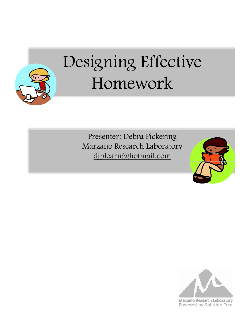

# Designing Effective Homework

Presenter: Debra Pickering Marzano Research Laboratory djplearn@hotmail.com





**Marzano Research Laboratory** Powered by Solution Tree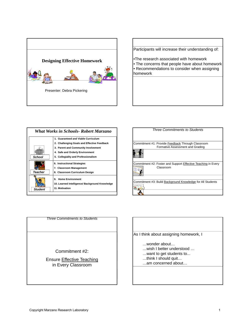



|                | <b>What Works in Schools- Robert Marzano</b>   |
|----------------|------------------------------------------------|
|                | 1. Guaranteed and Viable Curriculum            |
|                | 2. Challenging Goals and Effective Feedback    |
|                | 3. Parent and Community Involvement            |
|                | 4. Safe and Orderly Environment                |
| School         | 5. Collegiality and Professionalism            |
|                | 6. Instructional Strategies                    |
|                | 7. Classroom Management                        |
| <b>Teacher</b> | 8. Classroom Curriculum Design                 |
|                | 9. Home Environment                            |
|                | 10. Learned Intelligence/ Background Knowledge |
| <b>Student</b> | 11. Motivation                                 |





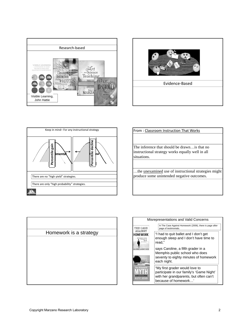









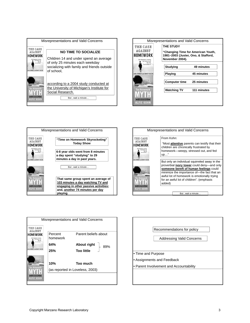









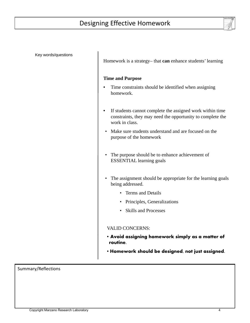

Key words/questions

Homework is a strategy– that **can** enhance students' learning

## **Time and Purpose**

- Time constraints should be identified when assigning homework.
- If students cannot complete the assigned work within time constraints, they may need the opportunity to complete the work in class.
- Make sure students understand and are focused on the purpose of the homework
- The purpose should be to enhance achievement of ESSENTIAL learning goals ESSENTIAL learning goals
- The assignment should be appropriate for the learning goals being addressed.
	- Terms and Details
	- Principles, Generalizations
	- Skills and Processes

# VALID CONCERNS:

- **Avoid assigning homework simply as a matter of routine.**
- **Homework should be designed, not just assigned.**

Summary/Reflections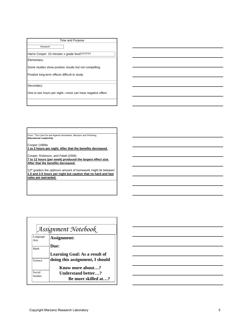|          | Time and Purpose |
|----------|------------------|
| Research |                  |

Harris Cooper: 10 minutes x grade level??????

Elementary:

Some studies show positive results but not compelling.

Positive long-term effects difficult to study.

Secondary:

One to two hours per night—more can have negative effect

From: "The Case for and Against Homework, Marzano and Pickering, **Educational Leadership**

Cooper (1989a **1 to 2 hours per night. After that the benefits decreased.** 

Cooper, Robinson, and Patall (2006) **7 to 12 hours (per week) produced the largest effect size. After that the benefits decreased.** 

12<sup>th</sup> graders the optimum amount of homework might lie between **1.5 and 2.5 hours per night but caution that no hard and fast rules are warranted.**

|                  | Assignment Notebook                  |
|------------------|--------------------------------------|
| Language<br>Arts | Assignment:                          |
| Math             | Due:                                 |
|                  | <b>Learning Goal: As a result of</b> |
| Science          | doing this assignment, I should      |
|                  | Know more about?                     |
| Social           | Understand better?                   |
| Studies          | Be more skilled at?                  |

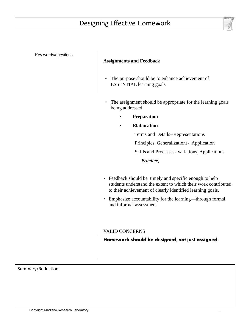

Key words/questions

## **Assignments and Feedback**

- The purpose should be to enhance achievement of ESSENTIAL learning goals
- The assignment should be appropriate for the learning goals being addressed.
	- **Preparation**
	- **Elaboration**

Terms and Details--Representations

Principles, Generalizations- Application

Skills and Processes- Variations, Applications

*Practice*,

- Feedback should be timely and specific enough to help students understand the extent to which their work contributed to their achievement of clearly identified learning goals.
- Emphasize accountability for the learning—through formal and informal assessment

# VALID CONCERNS

**Homework should be designed, not just assigned.**

Summary/Reflections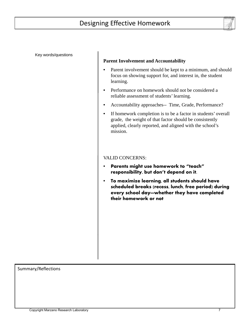

Key words/questions

## **Parent Involvement and Accountability**

- Parent involvement should be kept to a minimum, and should focus on showing support for, and interest in, the student learning.
- Performance on homework should not be considered a reliable assessment of students' learning.
- Accountability approaches-- Time, Grade, Performance?
- If homework completion is to be a factor in students' overall grade, the weight of that factor should be consistently applied, clearly reported, and aligned with the school's mission.

## VALID CONCERNS:

- **Parents might use homework to "teach" responsibility, but don't depend on it.**
- **To maximize learning, all students should have scheduled breaks (recess, lunch, free period) during every school day—whether they have completed their homework or not**

Summary/Reflections